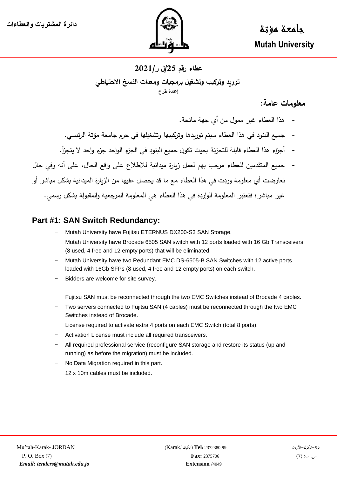

 جامعة مؤتة  **Mutah University**

### **عطاء رقم /52ل ر5252/ توريد وتركيب وتشغيل برمجيات ومعدات النسخ االحتياطي إعادة طرح**

### **معلومات عامة:**

- هذا العطاء غير ممول من أي جهة مانحة.
- جميع البنود في هذا العطاء سيتم توريدها وتركيبها وتشغيلها في حرم جامعة مؤتة الرئيسي.
- أجزاء هذا العطاء قابلة للتجزئة بحيث تكون جميع البنود في الجزء الواحد جزء واحد لا يتجزأ.
- جميع المتقدمين للعطاء مرحب بهم لعمل زبارة ميدانية للاطلاع على واقع الحال، على أنه وفي حال تعارضت أي معلومة وردت في هذا العطاء مع ما قد يحصل عليها من الزيارة الميدانية بشكل مباشر أو غير مباشر؛ فتعتبر المعلومة الواردة في هذا العطاء هي المعلومة المرجعية والمقبولة بشكل رسمي.

### **Part #1: SAN Switch Redundancy:**

- Mutah University have Fujitsu ETERNUS DX200-S3 SAN Storage.
- Mutah University have Brocade 6505 SAN switch with 12 ports loaded with 16 Gb Transceivers (8 used, 4 free and 12 empty ports) that will be eliminated.
- Mutah University have two Redundant EMC DS-6505-B SAN Switches with 12 active ports loaded with 16Gb SFPs (8 used, 4 free and 12 empty ports) on each switch.
- Bidders are welcome for site survey.
- Fujitsu SAN must be reconnected through the two EMC Switches instead of Brocade 4 cables.
- Two servers connected to Fujitsu SAN (4 cables) must be reconnected through the two EMC Switches instead of Brocade.
- License required to activate extra 4 ports on each EMC Switch (total 8 ports).
- Activation License must include all required transceivers.
- All required professional service (reconfigure SAN storage and restore its status (up and running) as before the migration) must be included.
- No Data Migration required in this part.
- 12 x 10m cables must be included.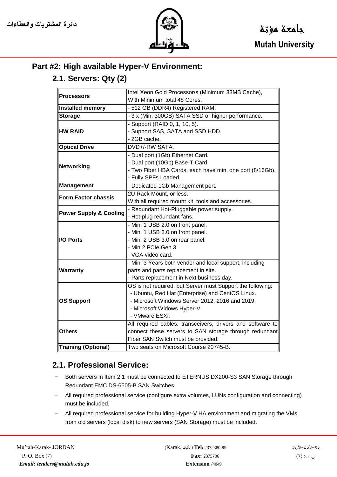

# **Part #2: High available Hyper-V Environment:**

### **2.1. Servers: Qty (2)**

| <b>Processors</b>                 | Intel Xeon Gold Processor/s (Minimum 33MB Cache),          |
|-----------------------------------|------------------------------------------------------------|
|                                   | With Minimum total 48 Cores.                               |
| <b>Installed memory</b>           | - 512 GB (DDR4) Registered RAM.                            |
| <b>Storage</b>                    | - 3 x (Min. 300GB) SATA SSD or higher performance.         |
| <b>HW RAID</b>                    | - Support (RAID 0, 1, 10, 5).                              |
|                                   | - Support SAS, SATA and SSD HDD.                           |
|                                   | - 2GB cache.                                               |
| <b>Optical Drive</b>              | DVD+/-RW SATA.                                             |
| <b>Networking</b>                 | - Dual port (1Gb) Ethernet Card.                           |
|                                   | - Dual port (10Gb) Base-T Card.                            |
|                                   | - Two Fiber HBA Cards, each have min. one port (8/16Gb).   |
|                                   | - Fully SPFs Loaded.                                       |
| <b>Management</b>                 | - Dedicated 1Gb Management port.                           |
| <b>Form Factor chassis</b>        | 2U Rack Mount, or less.                                    |
|                                   | With all required mount kit, tools and accessories.        |
| <b>Power Supply &amp; Cooling</b> | - Redundant Hot-Pluggable power supply.                    |
|                                   | - Hot-plug redundant fans.                                 |
| <b>I/O Ports</b>                  | - Min. 1 USB 2.0 on front panel.                           |
|                                   | - Min. 1 USB 3.0 on front panel.                           |
|                                   | - Min. 2 USB 3.0 on rear panel.                            |
|                                   | - Min 2 PCIe Gen 3.                                        |
|                                   | - VGA video card.                                          |
| <b>Warranty</b>                   | - Min. 3 Years both vendor and local support, including    |
|                                   | parts and parts replacement in site.                       |
|                                   | - Parts replacement in Next business day.                  |
| <b>OS Support</b>                 | OS is not required, but Server must Support the following: |
|                                   | - Ubuntu, Red Hat (Enterprise) and CentOS Linux.           |
|                                   | - Microsoft Windows Server 2012, 2016 and 2019.            |
|                                   | - Microsoft Widows Hyper-V.                                |
|                                   | - VMware ESXi.                                             |
| <b>Others</b>                     | All required cables, transceivers, drivers and software to |
|                                   | connect these servers to SAN storage through redundant     |
|                                   | Fiber SAN Switch must be provided.                         |
| <b>Training (Optional)</b>        | Two seats on Microsoft Course 20745-B.                     |

### **2.1. Professional Service:**

- Both servers in Item 2.1 must be connected to ETERNUS DX200-S3 SAN Storage through Redundant EMC DS-6505-B SAN Switches.
- All required professional service (configure extra volumes, LUNs configuration and connecting) must be included.
- All required professional service for building Hyper-V HA environment and migrating the VMs from old servers (local disk) to new servers (SAN Storage) must be included.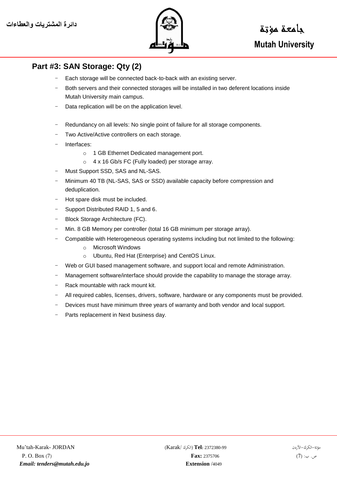

# **Part #3: SAN Storage: Qty (2)**

- Each storage will be connected back-to-back with an existing server.
- Both servers and their connected storages will be installed in two deferent locations inside Mutah University main campus.
- Data replication will be on the application level.
- Redundancy on all levels: No single point of failure for all storage components.
- Two Active/Active controllers on each storage.
- Interfaces:
	- o 1 GB Ethernet Dedicated management port.
	- o 4 x 16 Gb/s FC (Fully loaded) per storage array.
- Must Support SSD, SAS and NL-SAS.
- Minimum 40 TB (NL-SAS, SAS or SSD) available capacity before compression and deduplication.
- Hot spare disk must be included.
- Support Distributed RAID 1, 5 and 6.
- Block Storage Architecture (FC).
- Min. 8 GB Memory per controller (total 16 GB minimum per storage array).
- Compatible with Heterogeneous operating systems including but not limited to the following:
	- o Microsoft Windows
	- o Ubuntu, Red Hat (Enterprise) and CentOS Linux.
- Web or GUI based management software, and support local and remote Administration.
- Management software/interface should provide the capability to manage the storage array.
- Rack mountable with rack mount kit.
- All required cables, licenses, drivers, software, hardware or any components must be provided.
- Devices must have minimum three years of warranty and both vendor and local support.
- Parts replacement in Next business day.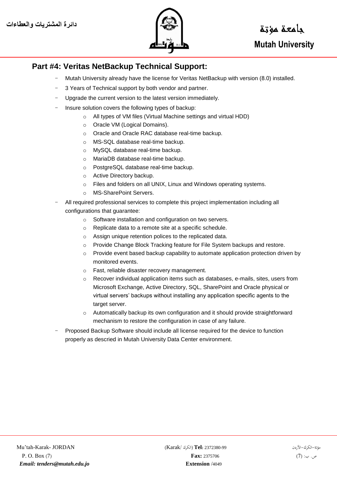

#### **Part #4: Veritas NetBackup Technical Support:**

- Mutah University already have the license for Veritas NetBackup with version (8.0) installed.
- 3 Years of Technical support by both vendor and partner.
- Upgrade the current version to the latest version immediately.
- Insure solution covers the following types of backup:
	- o All types of VM files (Virtual Machine settings and virtual HDD)
	- o Oracle VM (Logical Domains).
	- o Oracle and Oracle RAC database real-time backup.
	- o MS-SQL database real-time backup.
	- o MySQL database real-time backup.
	- o MariaDB database real-time backup.
	- o PostgreSQL database real-time backup.
	- o Active Directory backup.
	- o Files and folders on all UNIX, Linux and Windows operating systems.
	- o MS-SharePoint Servers.
- All required professional services to complete this project implementation including all configurations that guarantee:
	- o Software installation and configuration on two servers.
	- o Replicate data to a remote site at a specific schedule.
	- o Assign unique retention polices to the replicated data.
	- o Provide Change Block Tracking feature for File System backups and restore.
	- $\circ$  Provide event based backup capability to automate application protection driven by monitored events.
	- o Fast, reliable disaster recovery management.
	- $\circ$  Recover individual application items such as databases, e-mails, sites, users from Microsoft Exchange, Active Directory, SQL, SharePoint and Oracle physical or virtual servers' backups without installing any application specific agents to the target server.
	- o Automatically backup its own configuration and it should provide straightforward mechanism to restore the configuration in case of any failure.
- Proposed Backup Software should include all license required for the device to function properly as descried in Mutah University Data Center environment.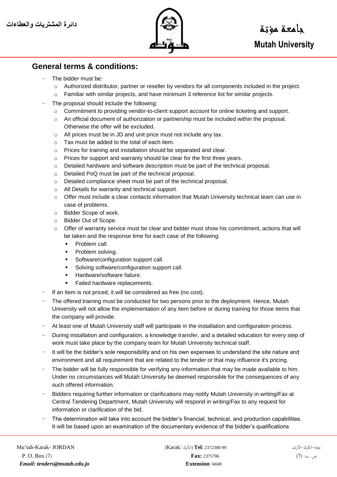

#### **General terms & conditions:**

- The bidder must be:
	- o Authorized distributor, partner or reseller by vendors for all components included in the project.
	- o Familiar with similar projects, and have minimum 3 reference list for similar projects.
- The proposal should include the following:
	- o Commitment to providing vendor-to-client support account for online ticketing and support.
	- o An official document of authorization or partnership must be included within the proposal. Otherwise the offer will be excluded.
	- o All prices must be in JD and unit price must not include any tax.
	- o Tax must be added to the total of each item.
	- o Prices for training and installation should be separated and clear.
	- o Prices for support and warranty should be clear for the first three years.
	- $\circ$  Detailed hardware and software description must be part of the technical proposal.
	- o Detailed PoQ must be part of the technical proposal.
	- o Detailed compliance sheet must be part of the technical proposal.
	- o All Details for warranty and technical support.
	- $\circ$  Offer must include a clear contacts information that Mutah University technical team can use in case of problems.
	- o Bidder Scope of work.
	- o Bidder Out of Scope.
	- $\circ$  Offer of warranty service must be clear and bidder must show his commitment, actions that will be taken and the response time for each case of the following:
		- **Problem call.**
		- Problem solving.
		- Software/configuration support call.
		- Solving software/configuration support call.
		- Hardware/software failure.
		- Failed hardware replacements.
- If an Item is not priced, it will be considered as free (no cost).
- The offered training must be conducted for two persons prior to the deployment. Hence, Mutah University will not allow the implementation of any item before or during training for those items that the company will provide.
- At least one of Mutah University staff will participate in the installation and configuration process.
- During installation and configuration, a knowledge transfer, and a detailed education for every step of work must take place by the company team for Mutah University technical staff.
- It will be the bidder's sole responsibility and on his own expenses to understand the site nature and environment and all requirement that are related to the tender or that may influence it's pricing.
- The bidder will be fully responsible for verifying any information that may be made available to him. Under no circumstances will Mutah University be deemed responsible for the consequences of any such offered information.
- Bidders requiring further information or clarifications may notify Mutah University in writing/Fax at Central Tendering Department, Mutah University will respond in writing/Fax to any request for information or clarification of the bid.
- The determination will take into account the bidder's financial, technical, and production capabilities. It will be based upon an examination of the documentary evidence of the bidder's qualifications